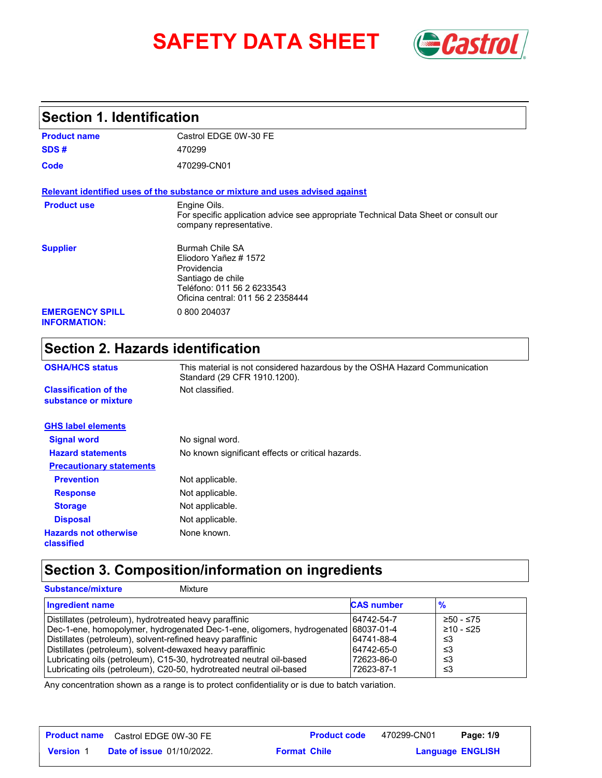# **SAFETY DATA SHEET** *Castrol*



## **Section 1. Identification**

| <b>Product name</b>                           | Castrol EDGE 0W-30 FE                                                                                                                                  |
|-----------------------------------------------|--------------------------------------------------------------------------------------------------------------------------------------------------------|
| SDS#                                          | 470299                                                                                                                                                 |
| Code                                          | 470299-CN01                                                                                                                                            |
|                                               | Relevant identified uses of the substance or mixture and uses advised against                                                                          |
| <b>Product use</b>                            | Engine Oils.<br>For specific application advice see appropriate Technical Data Sheet or consult our<br>company representative.                         |
| <b>Supplier</b>                               | <b>Burmah Chile SA</b><br>Eliodoro Yañez # 1572<br>Providencia<br>Santiago de chile<br>Teléfono: 011 56 2 6233543<br>Oficina central: 011 56 2 2358444 |
| <b>EMERGENCY SPILL</b><br><b>INFORMATION:</b> | 0 800 204037                                                                                                                                           |

## **Section 2. Hazards identification**

| <b>OSHA/HCS status</b>                               | This material is not considered hazardous by the OSHA Hazard Communication<br>Standard (29 CFR 1910.1200). |  |
|------------------------------------------------------|------------------------------------------------------------------------------------------------------------|--|
| <b>Classification of the</b><br>substance or mixture | Not classified.                                                                                            |  |
| <b>GHS label elements</b>                            |                                                                                                            |  |
| <b>Signal word</b>                                   | No signal word.                                                                                            |  |
| <b>Hazard statements</b>                             | No known significant effects or critical hazards.                                                          |  |
| <b>Precautionary statements</b>                      |                                                                                                            |  |
| <b>Prevention</b>                                    | Not applicable.                                                                                            |  |
| <b>Response</b>                                      | Not applicable.                                                                                            |  |
| <b>Storage</b>                                       | Not applicable.                                                                                            |  |
| <b>Disposal</b>                                      | Not applicable.                                                                                            |  |
| <b>Hazards not otherwise</b><br>classified           | None known.                                                                                                |  |

## **Section 3. Composition/information on ingredients**

| <b>Substance/mixture</b><br>Mixture                                                                                                          |                   |                          |
|----------------------------------------------------------------------------------------------------------------------------------------------|-------------------|--------------------------|
| <b>Ingredient name</b>                                                                                                                       | <b>CAS number</b> | $\frac{9}{6}$            |
| Distillates (petroleum), hydrotreated heavy paraffinic<br>Dec-1-ene, homopolymer, hydrogenated Dec-1-ene, oligomers, hydrogenated 68037-01-4 | 64742-54-7        | ≥50 - ≤75<br>$≥10 - ≤25$ |
| Distillates (petroleum), solvent-refined heavy paraffinic                                                                                    | 64741-88-4        | ≤3                       |
| Distillates (petroleum), solvent-dewaxed heavy paraffinic                                                                                    | 64742-65-0        | ו≥ ≤                     |
| Lubricating oils (petroleum), C15-30, hydrotreated neutral oil-based                                                                         | 72623-86-0        | ו≥ ≤                     |
| Lubricating oils (petroleum), C20-50, hydrotreated neutral oil-based                                                                         | 72623-87-1        | ≤3                       |

Any concentration shown as a range is to protect confidentiality or is due to batch variation.

|                  | <b>Product name</b> Castrol EDGE 0W-30 FE | <b>Product code</b> | 470299-CN01 | Page: 1/9               |
|------------------|-------------------------------------------|---------------------|-------------|-------------------------|
| <b>Version 1</b> | <b>Date of issue 01/10/2022.</b>          | <b>Format Chile</b> |             | <b>Language ENGLISH</b> |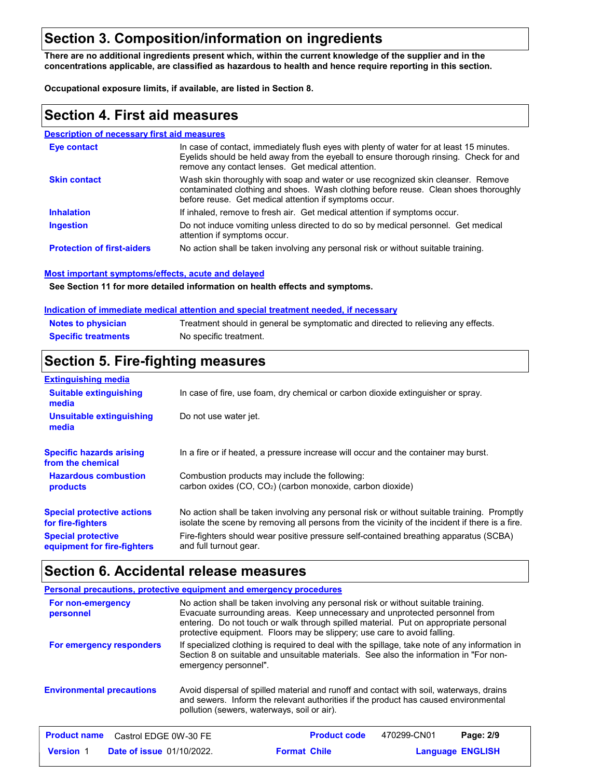## **Section 3. Composition/information on ingredients**

**There are no additional ingredients present which, within the current knowledge of the supplier and in the concentrations applicable, are classified as hazardous to health and hence require reporting in this section.**

**Occupational exposure limits, if available, are listed in Section 8.**

#### **Section 4. First aid measures**

#### **Description of necessary first aid measures**

| <b>Eve contact</b>                | In case of contact, immediately flush eyes with plenty of water for at least 15 minutes.<br>Eyelids should be held away from the eyeball to ensure thorough rinsing. Check for and<br>remove any contact lenses. Get medical attention. |
|-----------------------------------|-----------------------------------------------------------------------------------------------------------------------------------------------------------------------------------------------------------------------------------------|
| <b>Skin contact</b>               | Wash skin thoroughly with soap and water or use recognized skin cleanser. Remove<br>contaminated clothing and shoes. Wash clothing before reuse. Clean shoes thoroughly<br>before reuse. Get medical attention if symptoms occur.       |
| <b>Inhalation</b>                 | If inhaled, remove to fresh air. Get medical attention if symptoms occur.                                                                                                                                                               |
| <b>Ingestion</b>                  | Do not induce vomiting unless directed to do so by medical personnel. Get medical<br>attention if symptoms occur.                                                                                                                       |
| <b>Protection of first-aiders</b> | No action shall be taken involving any personal risk or without suitable training.                                                                                                                                                      |

#### **Most important symptoms/effects, acute and delayed**

**See Section 11 for more detailed information on health effects and symptoms.**

#### **Indication of immediate medical attention and special treatment needed, if necessary**

| <b>Notes to physician</b>  | Treatment should in general be symptomatic and directed to relieving any effects. |
|----------------------------|-----------------------------------------------------------------------------------|
| <b>Specific treatments</b> | No specific treatment.                                                            |

### **Section 5. Fire-fighting measures**

| <b>Extinguishing media</b>                               |                                                                                                                                                                                                |
|----------------------------------------------------------|------------------------------------------------------------------------------------------------------------------------------------------------------------------------------------------------|
| <b>Suitable extinguishing</b><br>media                   | In case of fire, use foam, dry chemical or carbon dioxide extinguisher or spray.                                                                                                               |
| Unsuitable extinguishing<br>media                        | Do not use water jet.                                                                                                                                                                          |
| <b>Specific hazards arising</b><br>from the chemical     | In a fire or if heated, a pressure increase will occur and the container may burst.                                                                                                            |
| <b>Hazardous combustion</b><br>products                  | Combustion products may include the following:<br>carbon oxides $(CO, CO2)$ (carbon monoxide, carbon dioxide)                                                                                  |
| <b>Special protective actions</b><br>for fire-fighters   | No action shall be taken involving any personal risk or without suitable training. Promptly<br>isolate the scene by removing all persons from the vicinity of the incident if there is a fire. |
| <b>Special protective</b><br>equipment for fire-fighters | Fire-fighters should wear positive pressure self-contained breathing apparatus (SCBA)<br>and full turnout gear.                                                                                |

#### **Section 6. Accidental release measures**

|                                              | Personal precautions, protective equipment and emergency procedures                                                                                                                                                                                                                                                                   |
|----------------------------------------------|---------------------------------------------------------------------------------------------------------------------------------------------------------------------------------------------------------------------------------------------------------------------------------------------------------------------------------------|
| For non-emergency<br>personnel               | No action shall be taken involving any personal risk or without suitable training.<br>Evacuate surrounding areas. Keep unnecessary and unprotected personnel from<br>entering. Do not touch or walk through spilled material. Put on appropriate personal<br>protective equipment. Floors may be slippery; use care to avoid falling. |
| For emergency responders                     | If specialized clothing is required to deal with the spillage, take note of any information in<br>Section 8 on suitable and unsuitable materials. See also the information in "For non-<br>emergency personnel".                                                                                                                      |
| <b>Environmental precautions</b>             | Avoid dispersal of spilled material and runoff and contact with soil, waterways, drains<br>and sewers. Inform the relevant authorities if the product has caused environmental<br>pollution (sewers, waterways, soil or air).                                                                                                         |
| <b>Product name</b><br>Castrol EDGE 0W-30 FE | <b>Product code</b><br>470299-CN01<br>Page: 2/9                                                                                                                                                                                                                                                                                       |

**Date of issue** 01/10/2022. **Example 2 Format Chile Constructs Canguage ENGLIS** 

**Format Chile** 

**Language ENGLISH**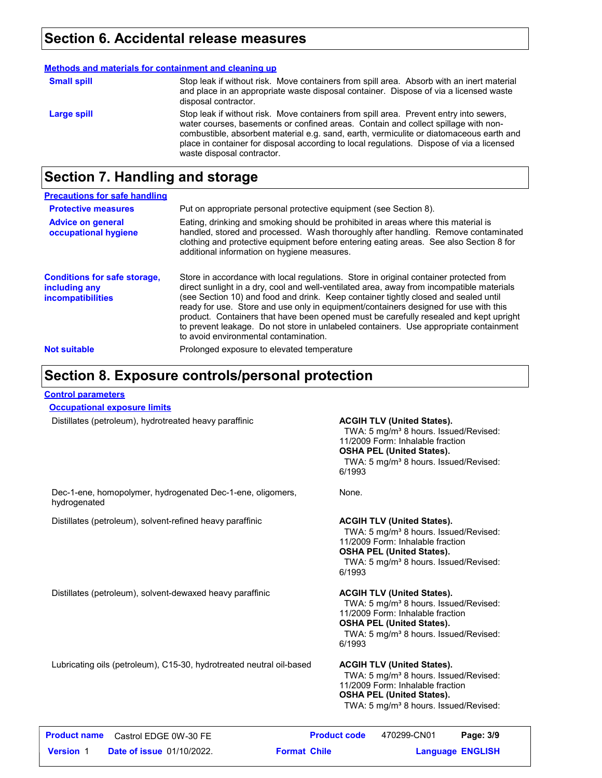#### **Section 6. Accidental release measures**

|                    | Methods and materials for containment and cleaning up                                                                                                                                                                                                                                                                                                                                              |
|--------------------|----------------------------------------------------------------------------------------------------------------------------------------------------------------------------------------------------------------------------------------------------------------------------------------------------------------------------------------------------------------------------------------------------|
| <b>Small spill</b> | Stop leak if without risk. Move containers from spill area. Absorb with an inert material<br>and place in an appropriate waste disposal container. Dispose of via a licensed waste<br>disposal contractor.                                                                                                                                                                                         |
| Large spill        | Stop leak if without risk. Move containers from spill area. Prevent entry into sewers,<br>water courses, basements or confined areas. Contain and collect spillage with non-<br>combustible, absorbent material e.g. sand, earth, vermiculite or diatomaceous earth and<br>place in container for disposal according to local regulations. Dispose of via a licensed<br>waste disposal contractor. |

## **Section 7. Handling and storage**

| <b>Precautions for safe handling</b>                                             |                                                                                                                                                                                                                                                                                                                                                                                                                                                                                                                                                                                               |
|----------------------------------------------------------------------------------|-----------------------------------------------------------------------------------------------------------------------------------------------------------------------------------------------------------------------------------------------------------------------------------------------------------------------------------------------------------------------------------------------------------------------------------------------------------------------------------------------------------------------------------------------------------------------------------------------|
| <b>Protective measures</b>                                                       | Put on appropriate personal protective equipment (see Section 8).                                                                                                                                                                                                                                                                                                                                                                                                                                                                                                                             |
| <b>Advice on general</b><br>occupational hygiene                                 | Eating, drinking and smoking should be prohibited in areas where this material is<br>handled, stored and processed. Wash thoroughly after handling. Remove contaminated<br>clothing and protective equipment before entering eating areas. See also Section 8 for<br>additional information on hygiene measures.                                                                                                                                                                                                                                                                              |
| <b>Conditions for safe storage,</b><br>including any<br><i>incompatibilities</i> | Store in accordance with local regulations. Store in original container protected from<br>direct sunlight in a dry, cool and well-ventilated area, away from incompatible materials<br>(see Section 10) and food and drink. Keep container tightly closed and sealed until<br>ready for use. Store and use only in equipment/containers designed for use with this<br>product. Containers that have been opened must be carefully resealed and kept upright<br>to prevent leakage. Do not store in unlabeled containers. Use appropriate containment<br>to avoid environmental contamination. |
| <b>Not suitable</b>                                                              | Prolonged exposure to elevated temperature                                                                                                                                                                                                                                                                                                                                                                                                                                                                                                                                                    |

### **Section 8. Exposure controls/personal protection**

#### **Control parameters**

hydrogenated

**Occupational exposure limits**

Distillates (petroleum), hydrotreated heavy paraffinic **ACGIH TLV (United States).**

TWA: 5 mg/m<sup>3</sup> 8 hours. Issued/Revised: 11/2009 Form: Inhalable fraction **OSHA PEL (United States).** TWA: 5 mg/m<sup>3</sup> 8 hours. Issued/Revised: 6/1993

Dec-1-ene, homopolymer, hydrogenated Dec-1-ene, oligomers,

Distillates (petroleum), solvent-refined heavy paraffinic **ACGIH TLV (United States).**

None.

TWA: 5 mg/m<sup>3</sup> 8 hours. Issued/Revised: 11/2009 Form: Inhalable fraction **OSHA PEL (United States).** TWA: 5 mg/m<sup>3</sup> 8 hours. Issued/Revised: 6/1993

Distillates (petroleum), solvent-dewaxed heavy paraffinic **ACGIH TLV (United States).**

TWA: 5 mg/m<sup>3</sup> 8 hours. Issued/Revised: 11/2009 Form: Inhalable fraction **OSHA PEL (United States).** TWA: 5 mg/m<sup>3</sup> 8 hours. Issued/Revised: 6/1993

Lubricating oils (petroleum), C15-30, hydrotreated neutral oil-based **ACGIH TLV (United States).**

TWA: 5 mg/m<sup>3</sup> 8 hours. Issued/Revised: 11/2009 Form: Inhalable fraction **OSHA PEL (United States).** TWA: 5 mg/m<sup>3</sup> 8 hours. Issued/Revised:

|                  | <b>Product name</b> Castrol EDGE 0W-30 FE |                     | <b>Product code</b> | 470299-CN01             | Page: 3/9 |  |
|------------------|-------------------------------------------|---------------------|---------------------|-------------------------|-----------|--|
| <b>Version</b> 1 | <b>Date of issue 01/10/2022.</b>          | <b>Format Chile</b> |                     | <b>Language ENGLISH</b> |           |  |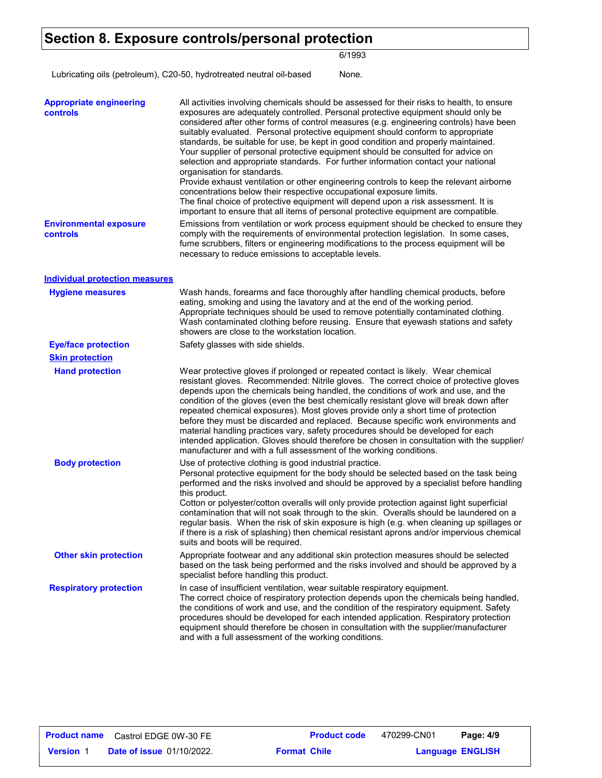### **Section 8. Exposure controls/personal protection**

6/1993

Lubricating oils (petroleum), C20-50, hydrotreated neutral oil-based None.

| <b>Appropriate engineering</b><br>controls       | All activities involving chemicals should be assessed for their risks to health, to ensure<br>exposures are adequately controlled. Personal protective equipment should only be<br>considered after other forms of control measures (e.g. engineering controls) have been<br>suitably evaluated. Personal protective equipment should conform to appropriate<br>standards, be suitable for use, be kept in good condition and properly maintained.<br>Your supplier of personal protective equipment should be consulted for advice on<br>selection and appropriate standards. For further information contact your national<br>organisation for standards.<br>Provide exhaust ventilation or other engineering controls to keep the relevant airborne<br>concentrations below their respective occupational exposure limits.<br>The final choice of protective equipment will depend upon a risk assessment. It is<br>important to ensure that all items of personal protective equipment are compatible. |
|--------------------------------------------------|------------------------------------------------------------------------------------------------------------------------------------------------------------------------------------------------------------------------------------------------------------------------------------------------------------------------------------------------------------------------------------------------------------------------------------------------------------------------------------------------------------------------------------------------------------------------------------------------------------------------------------------------------------------------------------------------------------------------------------------------------------------------------------------------------------------------------------------------------------------------------------------------------------------------------------------------------------------------------------------------------------|
| <b>Environmental exposure</b><br><b>controls</b> | Emissions from ventilation or work process equipment should be checked to ensure they<br>comply with the requirements of environmental protection legislation. In some cases,<br>fume scrubbers, filters or engineering modifications to the process equipment will be<br>necessary to reduce emissions to acceptable levels.                                                                                                                                                                                                                                                                                                                                                                                                                                                                                                                                                                                                                                                                              |
| <b>Individual protection measures</b>            |                                                                                                                                                                                                                                                                                                                                                                                                                                                                                                                                                                                                                                                                                                                                                                                                                                                                                                                                                                                                            |
| <b>Hygiene measures</b>                          | Wash hands, forearms and face thoroughly after handling chemical products, before<br>eating, smoking and using the lavatory and at the end of the working period.<br>Appropriate techniques should be used to remove potentially contaminated clothing.<br>Wash contaminated clothing before reusing. Ensure that eyewash stations and safety<br>showers are close to the workstation location.                                                                                                                                                                                                                                                                                                                                                                                                                                                                                                                                                                                                            |
| <b>Eye/face protection</b>                       | Safety glasses with side shields.                                                                                                                                                                                                                                                                                                                                                                                                                                                                                                                                                                                                                                                                                                                                                                                                                                                                                                                                                                          |
| <b>Skin protection</b>                           |                                                                                                                                                                                                                                                                                                                                                                                                                                                                                                                                                                                                                                                                                                                                                                                                                                                                                                                                                                                                            |
| <b>Hand protection</b>                           | Wear protective gloves if prolonged or repeated contact is likely. Wear chemical<br>resistant gloves. Recommended: Nitrile gloves. The correct choice of protective gloves<br>depends upon the chemicals being handled, the conditions of work and use, and the<br>condition of the gloves (even the best chemically resistant glove will break down after<br>repeated chemical exposures). Most gloves provide only a short time of protection<br>before they must be discarded and replaced. Because specific work environments and<br>material handling practices vary, safety procedures should be developed for each<br>intended application. Gloves should therefore be chosen in consultation with the supplier/<br>manufacturer and with a full assessment of the working conditions.                                                                                                                                                                                                              |
| <b>Body protection</b>                           | Use of protective clothing is good industrial practice.<br>Personal protective equipment for the body should be selected based on the task being<br>performed and the risks involved and should be approved by a specialist before handling<br>this product.<br>Cotton or polyester/cotton overalls will only provide protection against light superficial<br>contamination that will not soak through to the skin. Overalls should be laundered on a<br>regular basis. When the risk of skin exposure is high (e.g. when cleaning up spillages or<br>if there is a risk of splashing) then chemical resistant aprons and/or impervious chemical<br>suits and boots will be required.                                                                                                                                                                                                                                                                                                                      |
| <b>Other skin protection</b>                     | Appropriate footwear and any additional skin protection measures should be selected<br>based on the task being performed and the risks involved and should be approved by a<br>specialist before handling this product.                                                                                                                                                                                                                                                                                                                                                                                                                                                                                                                                                                                                                                                                                                                                                                                    |
| <b>Respiratory protection</b>                    | In case of insufficient ventilation, wear suitable respiratory equipment.<br>The correct choice of respiratory protection depends upon the chemicals being handled,<br>the conditions of work and use, and the condition of the respiratory equipment. Safety<br>procedures should be developed for each intended application. Respiratory protection<br>equipment should therefore be chosen in consultation with the supplier/manufacturer<br>and with a full assessment of the working conditions.                                                                                                                                                                                                                                                                                                                                                                                                                                                                                                      |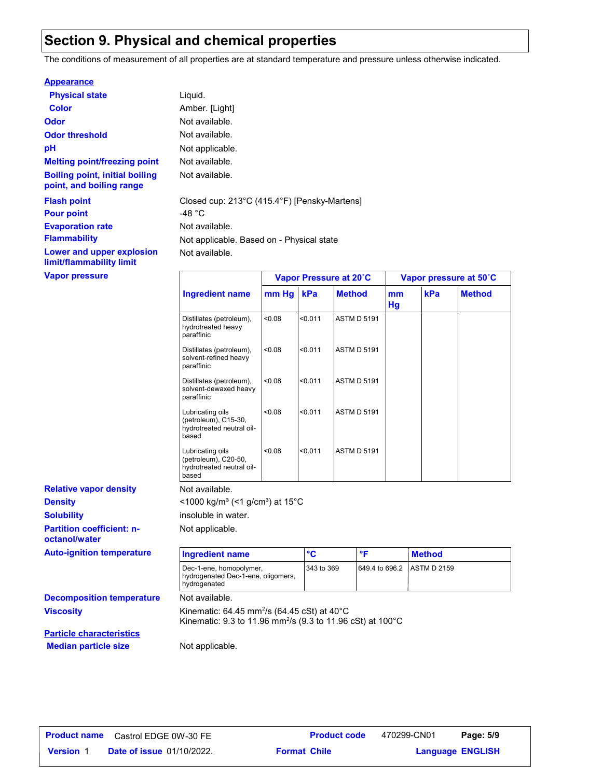## **Section 9. Physical and chemical properties**

The conditions of measurement of all properties are at standard temperature and pressure unless otherwise indicated.

#### **Appearance**

| <b>Physical state</b>                                             | Liquid.                     |
|-------------------------------------------------------------------|-----------------------------|
| Color                                                             | Amber. [Light]              |
| Odor                                                              | Not available.              |
| <b>Odor threshold</b>                                             | Not available.              |
| рH                                                                | Not applicable.             |
| <b>Melting point/freezing point</b>                               | Not available.              |
| <b>Boiling point, initial boiling</b><br>point, and boiling range | Not available.              |
| <b>Flash point</b><br><b>Pour point</b>                           | Closed cup: 213°C<br>-48 °C |
| <b>Evaporation rate</b>                                           | Not available.              |
| <b>Flammability</b>                                               | Not applicable. Ba          |
| Lower and upper explosion<br>limit/flammability limit             | Not available.              |
| <b>Vapor pressure</b>                                             |                             |

t available. t available. t applicable. Based on - Physical state t available. **Flash point** Closed cup: 213°C (415.4°F) [Pensky-Martens]

|                                                                                | Vapor Pressure at 20°C |         | Vapor pressure at 50°C |          |     |               |
|--------------------------------------------------------------------------------|------------------------|---------|------------------------|----------|-----|---------------|
| <b>Ingredient name</b>                                                         | mm Hg                  | kPa     | <b>Method</b>          | mm<br>Hg | kPa | <b>Method</b> |
| Distillates (petroleum),<br>hydrotreated heavy<br>paraffinic                   | < 0.08                 | < 0.011 | <b>ASTM D 5191</b>     |          |     |               |
| Distillates (petroleum),<br>solvent-refined heavy<br>paraffinic                | < 0.08                 | < 0.011 | <b>ASTM D 5191</b>     |          |     |               |
| Distillates (petroleum),<br>solvent-dewaxed heavy<br>paraffinic                | < 0.08                 | < 0.011 | <b>ASTM D 5191</b>     |          |     |               |
| Lubricating oils<br>(petroleum), C15-30,<br>hydrotreated neutral oil-<br>based | < 0.08                 | < 0.011 | <b>ASTM D 5191</b>     |          |     |               |
| Lubricating oils<br>(petroleum), C20-50,<br>hydrotreated neutral oil-<br>based | < 0.08                 | < 0.011 | <b>ASTM D 5191</b>     |          |     |               |

**Partition coefficient: noctanol/water Density Solubility Relative vapor density Auto-ignition temperature** 

| <b>Ingredient name</b>                                                        | °C         | $^{\circ}$ $\blacksquare$  | ∣ Method |
|-------------------------------------------------------------------------------|------------|----------------------------|----------|
| Dec-1-ene, homopolymer,<br>hydrogenated Dec-1-ene, oligomers,<br>hydrogenated | 343 to 369 | 649.4 to 696.2 ASTM D 2159 |          |

**Decomposition temperature** Not available.

**Viscosity** Kinematic: 64.45 mm<sup>2</sup> /s (64.45 cSt) at 40°C Kinematic: 9.3 to 11.96 mm<sup>2</sup> /s (9.3 to 11.96 cSt) at 100°C

**Particle characteristics Median particle size** Not applicable.

Not available.

<1000 kg/m<sup>3</sup> (<1 g/cm<sup>3</sup>) at 15°C

Not applicable.

insoluble in water.

| <b>Product name</b> | Castrol EDGE 0W-30 FE            | <b>Product code</b> | 470299-CN01 | Page: 5/9               |  |
|---------------------|----------------------------------|---------------------|-------------|-------------------------|--|
| <b>Version 1</b>    | <b>Date of issue 01/10/2022.</b> | <b>Format Chile</b> |             | <b>Language ENGLISH</b> |  |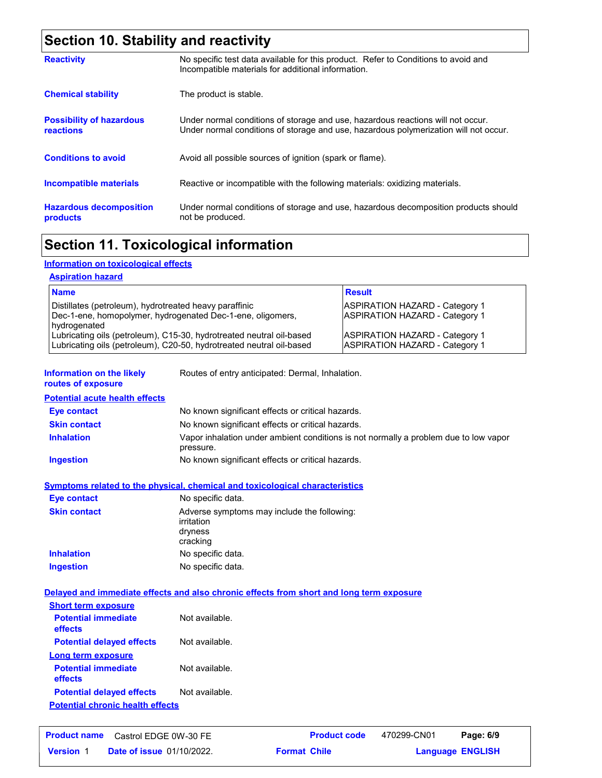## **Section 10. Stability and reactivity**

| <b>Reactivity</b>                                   | No specific test data available for this product. Refer to Conditions to avoid and<br>Incompatible materials for additional information.                                |
|-----------------------------------------------------|-------------------------------------------------------------------------------------------------------------------------------------------------------------------------|
| <b>Chemical stability</b>                           | The product is stable.                                                                                                                                                  |
| <b>Possibility of hazardous</b><br><b>reactions</b> | Under normal conditions of storage and use, hazardous reactions will not occur.<br>Under normal conditions of storage and use, hazardous polymerization will not occur. |
| <b>Conditions to avoid</b>                          | Avoid all possible sources of ignition (spark or flame).                                                                                                                |
| Incompatible materials                              | Reactive or incompatible with the following materials: oxidizing materials.                                                                                             |
| <b>Hazardous decomposition</b><br>products          | Under normal conditions of storage and use, hazardous decomposition products should<br>not be produced.                                                                 |

## **Section 11. Toxicological information**

#### **Information on toxicological effects**

#### **Aspiration hazard**

| <b>Name</b>                                                                                                                                  | <b>Result</b>                                                           |
|----------------------------------------------------------------------------------------------------------------------------------------------|-------------------------------------------------------------------------|
| Distillates (petroleum), hydrotreated heavy paraffinic<br>Dec-1-ene, homopolymer, hydrogenated Dec-1-ene, oligomers,<br>hydrogenated         | ASPIRATION HAZARD - Category 1<br>ASPIRATION HAZARD - Category 1        |
| Lubricating oils (petroleum), C15-30, hydrotreated neutral oil-based<br>Lubricating oils (petroleum), C20-50, hydrotreated neutral oil-based | <b>ASPIRATION HAZARD - Category 1</b><br>ASPIRATION HAZARD - Category 1 |

**Information on the likely routes of exposure**

Routes of entry anticipated: Dermal, Inhalation.

**Potential acute health effects**

| Eye contact         | No known significant effects or critical hazards.                                                 |
|---------------------|---------------------------------------------------------------------------------------------------|
| <b>Skin contact</b> | No known significant effects or critical hazards.                                                 |
| <b>Inhalation</b>   | Vapor inhalation under ambient conditions is not normally a problem due to low vapor<br>pressure. |
| <b>Ingestion</b>    | No known significant effects or critical hazards.                                                 |

#### **Symptoms related to the physical, chemical and toxicological characteristics**

| Eye contact         | No specific data.                                                                |
|---------------------|----------------------------------------------------------------------------------|
| <b>Skin contact</b> | Adverse symptoms may include the following:<br>irritation<br>dryness<br>cracking |
| <b>Inhalation</b>   | No specific data.                                                                |
| <b>Ingestion</b>    | No specific data.                                                                |

#### **Delayed and immediate effects and also chronic effects from short and long term exposure**

| <b>Short term exposure</b>              |                |
|-----------------------------------------|----------------|
| <b>Potential immediate</b><br>effects   | Not available. |
| <b>Potential delayed effects</b>        | Not available. |
| Long term exposure                      |                |
| <b>Potential immediate</b><br>effects   | Not available. |
| <b>Potential delayed effects</b>        | Not available. |
| <b>Potential chronic health effects</b> |                |

|                  | <b>Product name</b> Castrol EDGE 0W-30 FE |                     | <b>Product code</b> | 470299-CN01 | Page: 6/9               |
|------------------|-------------------------------------------|---------------------|---------------------|-------------|-------------------------|
| <b>Version 1</b> | <b>Date of issue 01/10/2022.</b>          | <b>Format Chile</b> |                     |             | <b>Language ENGLISH</b> |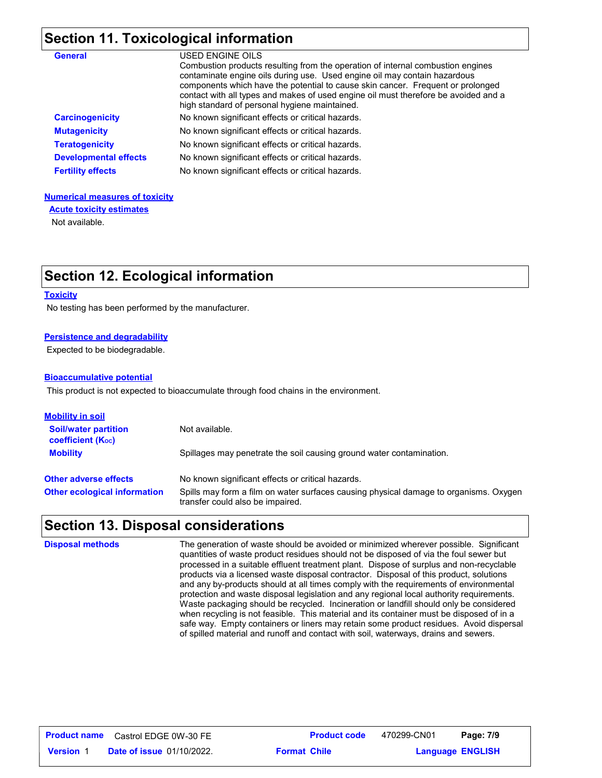## **Section 11. Toxicological information**

| <b>General</b>               | USED ENGINE OILS<br>Combustion products resulting from the operation of internal combustion engines<br>contaminate engine oils during use. Used engine oil may contain hazardous<br>components which have the potential to cause skin cancer. Frequent or prolonged<br>contact with all types and makes of used engine oil must therefore be avoided and a<br>high standard of personal hygiene maintained. |
|------------------------------|-------------------------------------------------------------------------------------------------------------------------------------------------------------------------------------------------------------------------------------------------------------------------------------------------------------------------------------------------------------------------------------------------------------|
| <b>Carcinogenicity</b>       | No known significant effects or critical hazards.                                                                                                                                                                                                                                                                                                                                                           |
| <b>Mutagenicity</b>          | No known significant effects or critical hazards.                                                                                                                                                                                                                                                                                                                                                           |
| <b>Teratogenicity</b>        | No known significant effects or critical hazards.                                                                                                                                                                                                                                                                                                                                                           |
| <b>Developmental effects</b> | No known significant effects or critical hazards.                                                                                                                                                                                                                                                                                                                                                           |
| <b>Fertility effects</b>     | No known significant effects or critical hazards.                                                                                                                                                                                                                                                                                                                                                           |

#### **Numerical measures of toxicity**

**Acute toxicity estimates**

Not available.

## **Section 12. Ecological information**

#### **Toxicity**

No testing has been performed by the manufacturer.

#### **Persistence and degradability**

Expected to be biodegradable.

#### **Bioaccumulative potential**

This product is not expected to bioaccumulate through food chains in the environment.

| <u>Mobility in soil</u>                                 |                                                                                                                           |
|---------------------------------------------------------|---------------------------------------------------------------------------------------------------------------------------|
| <b>Soil/water partition</b><br><b>coefficient (Koc)</b> | Not available.                                                                                                            |
| <b>Mobility</b>                                         | Spillages may penetrate the soil causing ground water contamination.                                                      |
| <b>Other adverse effects</b>                            | No known significant effects or critical hazards.                                                                         |
| <b>Other ecological information</b>                     | Spills may form a film on water surfaces causing physical damage to organisms. Oxygen<br>transfer could also be impaired. |

## **Section 13. Disposal considerations**

| <b>Disposal methods</b> | The generation of waste should be avoided or minimized wherever possible. Significant<br>quantities of waste product residues should not be disposed of via the foul sewer but<br>processed in a suitable effluent treatment plant. Dispose of surplus and non-recyclable<br>products via a licensed waste disposal contractor. Disposal of this product, solutions<br>and any by-products should at all times comply with the requirements of environmental<br>protection and waste disposal legislation and any regional local authority requirements.<br>Waste packaging should be recycled. Incineration or landfill should only be considered<br>when recycling is not feasible. This material and its container must be disposed of in a<br>safe way. Empty containers or liners may retain some product residues. Avoid dispersal<br>of spilled material and runoff and contact with soil, waterways, drains and sewers. |
|-------------------------|---------------------------------------------------------------------------------------------------------------------------------------------------------------------------------------------------------------------------------------------------------------------------------------------------------------------------------------------------------------------------------------------------------------------------------------------------------------------------------------------------------------------------------------------------------------------------------------------------------------------------------------------------------------------------------------------------------------------------------------------------------------------------------------------------------------------------------------------------------------------------------------------------------------------------------|
|                         |                                                                                                                                                                                                                                                                                                                                                                                                                                                                                                                                                                                                                                                                                                                                                                                                                                                                                                                                 |

| <b>Product name</b> | Castrol EDGE 0W-30 FE            | <b>Product code</b> | 470299-CN01 | Page: 7/9               |  |
|---------------------|----------------------------------|---------------------|-------------|-------------------------|--|
| <b>Version</b>      | <b>Date of issue 01/10/2022.</b> | <b>Format Chile</b> |             | <b>Language ENGLISH</b> |  |

Castrol EDGE 0W-30 FE **Page: 7/9 Product name Product code** 470299-CN01 Page: 7/9 **Format Chile**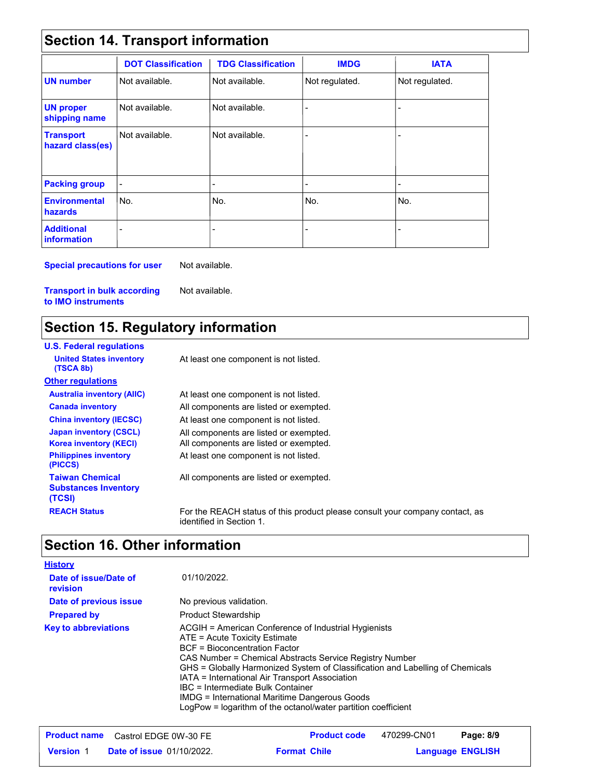## **Section 14. Transport information**

|                                         | <b>DOT Classification</b> | <b>TDG Classification</b> | <b>IMDG</b>              | <b>IATA</b>    |
|-----------------------------------------|---------------------------|---------------------------|--------------------------|----------------|
| <b>UN number</b>                        | Not available.            | Not available.            | Not regulated.           | Not regulated. |
| <b>UN proper</b><br>shipping name       | Not available.            | Not available.            |                          |                |
| <b>Transport</b><br>hazard class(es)    | Not available.            | Not available.            |                          | ٠              |
| <b>Packing group</b>                    |                           | $\overline{a}$            | $\overline{\phantom{a}}$ | ٠              |
| <b>Environmental</b><br>hazards         | No.                       | No.                       | No.                      | No.            |
| <b>Additional</b><br><b>information</b> |                           |                           |                          |                |

**Special precautions for user**

Not available.

**Transport in bulk according to IMO instruments**

## Not available.

## **Section 15. Regulatory information**

| <b>U.S. Federal regulations</b>                                 |                                                                                                          |
|-----------------------------------------------------------------|----------------------------------------------------------------------------------------------------------|
| <b>United States inventory</b><br>(TSCA 8b)                     | At least one component is not listed.                                                                    |
| <b>Other regulations</b>                                        |                                                                                                          |
| <b>Australia inventory (AIIC)</b>                               | At least one component is not listed.                                                                    |
| <b>Canada inventory</b>                                         | All components are listed or exempted.                                                                   |
| <b>China inventory (IECSC)</b>                                  | At least one component is not listed.                                                                    |
| <b>Japan inventory (CSCL)</b><br><b>Korea inventory (KECI)</b>  | All components are listed or exempted.<br>All components are listed or exempted.                         |
| <b>Philippines inventory</b><br>(PICCS)                         | At least one component is not listed.                                                                    |
| <b>Taiwan Chemical</b><br><b>Substances Inventory</b><br>(TCSI) | All components are listed or exempted.                                                                   |
| <b>REACH Status</b>                                             | For the REACH status of this product please consult your company contact, as<br>identified in Section 1. |
|                                                                 |                                                                                                          |

## **Section 16. Other information**

| <b>History</b>                    |                                                                                                                                                                                                                                                                                                                                                                                                                                                                             |
|-----------------------------------|-----------------------------------------------------------------------------------------------------------------------------------------------------------------------------------------------------------------------------------------------------------------------------------------------------------------------------------------------------------------------------------------------------------------------------------------------------------------------------|
| Date of issue/Date of<br>revision | 01/10/2022.                                                                                                                                                                                                                                                                                                                                                                                                                                                                 |
| Date of previous issue            | No previous validation.                                                                                                                                                                                                                                                                                                                                                                                                                                                     |
| <b>Prepared by</b>                | <b>Product Stewardship</b>                                                                                                                                                                                                                                                                                                                                                                                                                                                  |
| <b>Key to abbreviations</b>       | ACGIH = American Conference of Industrial Hygienists<br>ATE = Acute Toxicity Estimate<br>BCF = Bioconcentration Factor<br>CAS Number = Chemical Abstracts Service Registry Number<br>GHS = Globally Harmonized System of Classification and Labelling of Chemicals<br>IATA = International Air Transport Association<br>IBC = Intermediate Bulk Container<br>IMDG = International Maritime Dangerous Goods<br>LogPow = logarithm of the octanol/water partition coefficient |

|                  | <b>Product name</b> Castrol EDGE 0W-30 FE |                     | <b>Product code</b> | 470299-CN01 | Page: 8/9               |
|------------------|-------------------------------------------|---------------------|---------------------|-------------|-------------------------|
| <b>Version 1</b> | <b>Date of issue 01/10/2022.</b>          | <b>Format Chile</b> |                     |             | <b>Language ENGLISH</b> |